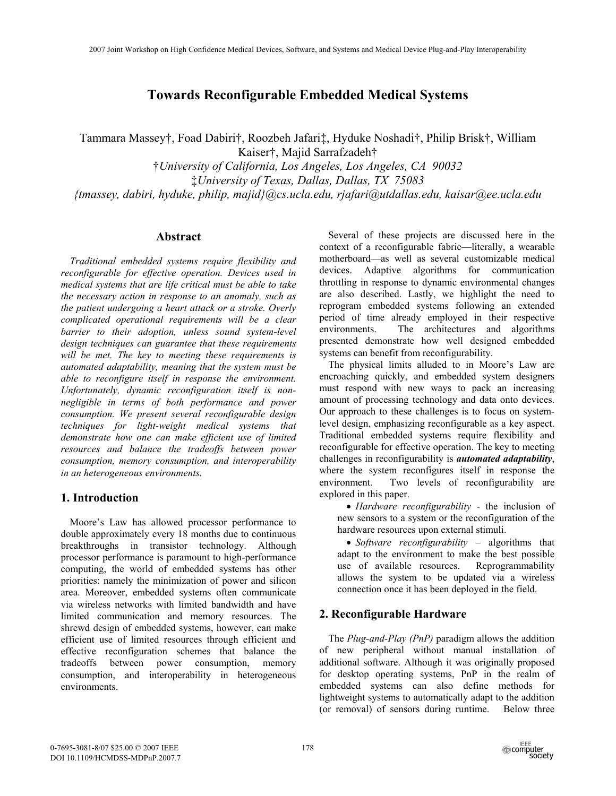# **Towards Reconfigurable Embedded Medical Systems**

Tammara Massey†, Foad Dabiri†, Roozbeh Jafari‡, Hyduke Noshadi†, Philip Brisk†, William Kaiser†, Majid Sarrafzadeh†

†*University of California, Los Angeles, Los Angeles, CA 90032*  ‡*University of Texas, Dallas, Dallas, TX 75083 {tmassey, dabiri, hyduke, philip, majid}@cs.ucla.edu, rjafari@utdallas.edu, kaisar@ee.ucla.edu* 

#### **Abstract**

*Traditional embedded systems require flexibility and reconfigurable for effective operation. Devices used in medical systems that are life critical must be able to take the necessary action in response to an anomaly, such as the patient undergoing a heart attack or a stroke. Overly complicated operational requirements will be a clear barrier to their adoption, unless sound system-level design techniques can guarantee that these requirements will be met. The key to meeting these requirements is automated adaptability, meaning that the system must be able to reconfigure itself in response the environment. Unfortunately, dynamic reconfiguration itself is nonnegligible in terms of both performance and power consumption. We present several reconfigurable design techniques for light-weight medical systems that demonstrate how one can make efficient use of limited resources and balance the tradeoffs between power consumption, memory consumption, and interoperability in an heterogeneous environments.* 

# **1. Introduction**

Moore's Law has allowed processor performance to double approximately every 18 months due to continuous breakthroughs in transistor technology. Although processor performance is paramount to high-performance computing, the world of embedded systems has other priorities: namely the minimization of power and silicon area. Moreover, embedded systems often communicate via wireless networks with limited bandwidth and have limited communication and memory resources. The shrewd design of embedded systems, however, can make efficient use of limited resources through efficient and effective reconfiguration schemes that balance the tradeoffs between power consumption, memory consumption, and interoperability in heterogeneous environments.

Several of these projects are discussed here in the context of a reconfigurable fabric—literally, a wearable motherboard—as well as several customizable medical devices. Adaptive algorithms for communication throttling in response to dynamic environmental changes are also described. Lastly, we highlight the need to reprogram embedded systems following an extended period of time already employed in their respective environments. The architectures and algorithms presented demonstrate how well designed embedded systems can benefit from reconfigurability.

The physical limits alluded to in Moore's Law are encroaching quickly, and embedded system designers must respond with new ways to pack an increasing amount of processing technology and data onto devices. Our approach to these challenges is to focus on systemlevel design, emphasizing reconfigurable as a key aspect. Traditional embedded systems require flexibility and reconfigurable for effective operation. The key to meeting challenges in reconfigurability is *automated adaptability*, where the system reconfigures itself in response the environment. Two levels of reconfigurability are explored in this paper.

• *Hardware reconfigurability* - the inclusion of new sensors to a system or the reconfiguration of the hardware resources upon external stimuli.

• *Software reconfigurability* – algorithms that adapt to the environment to make the best possible use of available resources. Reprogrammability allows the system to be updated via a wireless connection once it has been deployed in the field.

## **2. Reconfigurable Hardware**

The *Plug-and-Play (PnP)* paradigm allows the addition of new peripheral without manual installation of additional software. Although it was originally proposed for desktop operating systems, PnP in the realm of embedded systems can also define methods for lightweight systems to automatically adapt to the addition (or removal) of sensors during runtime. Below three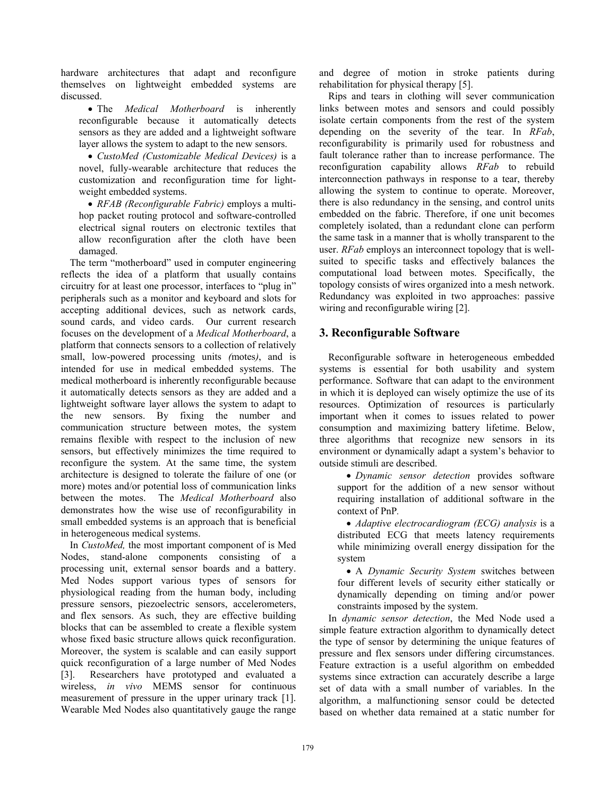hardware architectures that adapt and reconfigure themselves on lightweight embedded systems are discussed.

• The *Medical Motherboard* is inherently reconfigurable because it automatically detects sensors as they are added and a lightweight software layer allows the system to adapt to the new sensors.

• *CustoMed (Customizable Medical Devices)* is a novel, fully-wearable architecture that reduces the customization and reconfiguration time for lightweight embedded systems.

• *RFAB (Reconfigurable Fabric)* employs a multihop packet routing protocol and software-controlled electrical signal routers on electronic textiles that allow reconfiguration after the cloth have been damaged.

The term "motherboard" used in computer engineering reflects the idea of a platform that usually contains circuitry for at least one processor, interfaces to "plug in" peripherals such as a monitor and keyboard and slots for accepting additional devices, such as network cards, sound cards, and video cards. Our current research focuses on the development of a *Medical Motherboard*, a platform that connects sensors to a collection of relatively small, low-powered processing units *(*motes*)*, and is intended for use in medical embedded systems. The medical motherboard is inherently reconfigurable because it automatically detects sensors as they are added and a lightweight software layer allows the system to adapt to the new sensors. By fixing the number and communication structure between motes, the system remains flexible with respect to the inclusion of new sensors, but effectively minimizes the time required to reconfigure the system. At the same time, the system architecture is designed to tolerate the failure of one (or more) motes and/or potential loss of communication links between the motes. The *Medical Motherboard* also demonstrates how the wise use of reconfigurability in small embedded systems is an approach that is beneficial in heterogeneous medical systems.

In *CustoMed,* the most important component of is Med Nodes, stand-alone components consisting of a processing unit, external sensor boards and a battery. Med Nodes support various types of sensors for physiological reading from the human body, including pressure sensors, piezoelectric sensors, accelerometers, and flex sensors. As such, they are effective building blocks that can be assembled to create a flexible system whose fixed basic structure allows quick reconfiguration. Moreover, the system is scalable and can easily support quick reconfiguration of a large number of Med Nodes [3]. Researchers have prototyped and evaluated a wireless, *in vivo* MEMS sensor for continuous measurement of pressure in the upper urinary track [1]. Wearable Med Nodes also quantitatively gauge the range

and degree of motion in stroke patients during rehabilitation for physical therapy [5].

Rips and tears in clothing will sever communication links between motes and sensors and could possibly isolate certain components from the rest of the system depending on the severity of the tear. In *RFab*, reconfigurability is primarily used for robustness and fault tolerance rather than to increase performance. The reconfiguration capability allows *RFab* to rebuild interconnection pathways in response to a tear, thereby allowing the system to continue to operate. Moreover, there is also redundancy in the sensing, and control units embedded on the fabric. Therefore, if one unit becomes completely isolated, than a redundant clone can perform the same task in a manner that is wholly transparent to the user. *RFab* employs an interconnect topology that is wellsuited to specific tasks and effectively balances the computational load between motes. Specifically, the topology consists of wires organized into a mesh network. Redundancy was exploited in two approaches: passive wiring and reconfigurable wiring [2].

#### **3. Reconfigurable Software**

Reconfigurable software in heterogeneous embedded systems is essential for both usability and system performance. Software that can adapt to the environment in which it is deployed can wisely optimize the use of its resources. Optimization of resources is particularly important when it comes to issues related to power consumption and maximizing battery lifetime. Below, three algorithms that recognize new sensors in its environment or dynamically adapt a system's behavior to outside stimuli are described.

• *Dynamic sensor detection* provides software support for the addition of a new sensor without requiring installation of additional software in the context of PnP*.* 

• *Adaptive electrocardiogram (ECG) analysis* is a distributed ECG that meets latency requirements while minimizing overall energy dissipation for the system

• A *Dynamic Security System* switches between four different levels of security either statically or dynamically depending on timing and/or power constraints imposed by the system.

In *dynamic sensor detection*, the Med Node used a simple feature extraction algorithm to dynamically detect the type of sensor by determining the unique features of pressure and flex sensors under differing circumstances. Feature extraction is a useful algorithm on embedded systems since extraction can accurately describe a large set of data with a small number of variables. In the algorithm, a malfunctioning sensor could be detected based on whether data remained at a static number for